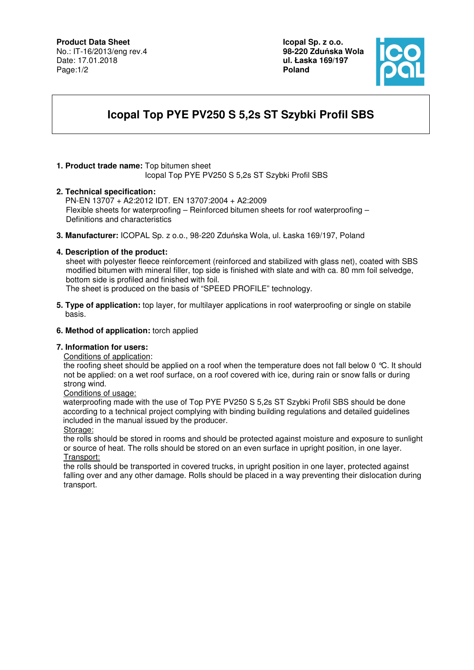## **Product Data Sheet**

No.: IT-16/2013/eng rev.4 Date: 17.01.2018 Page:1/2

**Icopal Sp. z o.o. 98-220 Zdu**ń**ska Wola ul. Łaska 169/197 Poland** 



# **Icopal Top PYE PV250 S 5,2s ST Szybki Profil SBS**

#### **1. Product trade name:** Top bitumen sheet Icopal Top PYE PV250 S 5,2s ST Szybki Profil SBS

#### **2. Technical specification:**

PN-EN 13707 + A2:2012 IDT. EN 13707:2004 + A2:2009 Flexible sheets for waterproofing – Reinforced bitumen sheets for roof waterproofing – Definitions and characteristics

**3. Manufacturer:** ICOPAL Sp. z o.o., 98-220 Zduńska Wola, ul. Łaska 169/197, Poland

#### **4. Description of the product:**

 sheet with polyester fleece reinforcement (reinforced and stabilized with glass net), coated with SBS modified bitumen with mineral filler, top side is finished with slate and with ca. 80 mm foil selvedge, bottom side is profiled and finished with foil.

The sheet is produced on the basis of "SPEED PROFILE" technology.

**5. Type of application:** top layer, for multilayer applications in roof waterproofing or single on stabile basis.

#### **6. Method of application:** torch applied

#### **7. Information for users:**

Conditions of application:

the roofing sheet should be applied on a roof when the temperature does not fall below 0 °C. It should not be applied: on a wet roof surface, on a roof covered with ice, during rain or snow falls or during strong wind.

Conditions of usage:

 waterproofing made with the use of Top PYE PV250 S 5,2s ST Szybki Profil SBS should be done according to a technical project complying with binding building regulations and detailed guidelines included in the manual issued by the producer.

Storage:

the rolls should be stored in rooms and should be protected against moisture and exposure to sunlight or source of heat. The rolls should be stored on an even surface in upright position, in one layer. Transport:

the rolls should be transported in covered trucks, in upright position in one layer, protected against falling over and any other damage. Rolls should be placed in a way preventing their dislocation during transport.